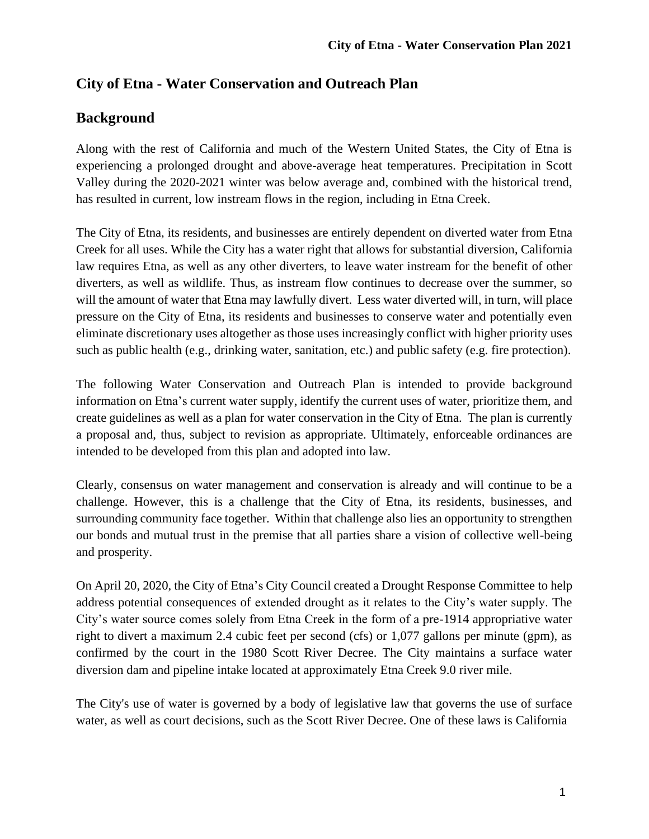# **City of Etna - Water Conservation and Outreach Plan**

# **Background**

Along with the rest of California and much of the Western United States, the City of Etna is experiencing a prolonged drought and above-average heat temperatures. Precipitation in Scott Valley during the 2020-2021 winter was below average and, combined with the historical trend, has resulted in current, low instream flows in the region, including in Etna Creek.

The City of Etna, its residents, and businesses are entirely dependent on diverted water from Etna Creek for all uses. While the City has a water right that allows for substantial diversion, California law requires Etna, as well as any other diverters, to leave water instream for the benefit of other diverters, as well as wildlife. Thus, as instream flow continues to decrease over the summer, so will the amount of water that Etna may lawfully divert. Less water diverted will, in turn, will place pressure on the City of Etna, its residents and businesses to conserve water and potentially even eliminate discretionary uses altogether as those uses increasingly conflict with higher priority uses such as public health (e.g., drinking water, sanitation, etc.) and public safety (e.g. fire protection).

The following Water Conservation and Outreach Plan is intended to provide background information on Etna's current water supply, identify the current uses of water, prioritize them, and create guidelines as well as a plan for water conservation in the City of Etna. The plan is currently a proposal and, thus, subject to revision as appropriate. Ultimately, enforceable ordinances are intended to be developed from this plan and adopted into law.

Clearly, consensus on water management and conservation is already and will continue to be a challenge. However, this is a challenge that the City of Etna, its residents, businesses, and surrounding community face together. Within that challenge also lies an opportunity to strengthen our bonds and mutual trust in the premise that all parties share a vision of collective well-being and prosperity.

On April 20, 2020, the City of Etna's City Council created a Drought Response Committee to help address potential consequences of extended drought as it relates to the City's water supply. The City's water source comes solely from Etna Creek in the form of a pre-1914 appropriative water right to divert a maximum 2.4 cubic feet per second (cfs) or 1,077 gallons per minute (gpm), as confirmed by the court in the 1980 Scott River Decree. The City maintains a surface water diversion dam and pipeline intake located at approximately Etna Creek 9.0 river mile.

The City's use of water is governed by a body of legislative law that governs the use of surface water, as well as court decisions, such as the Scott River Decree. One of these laws is California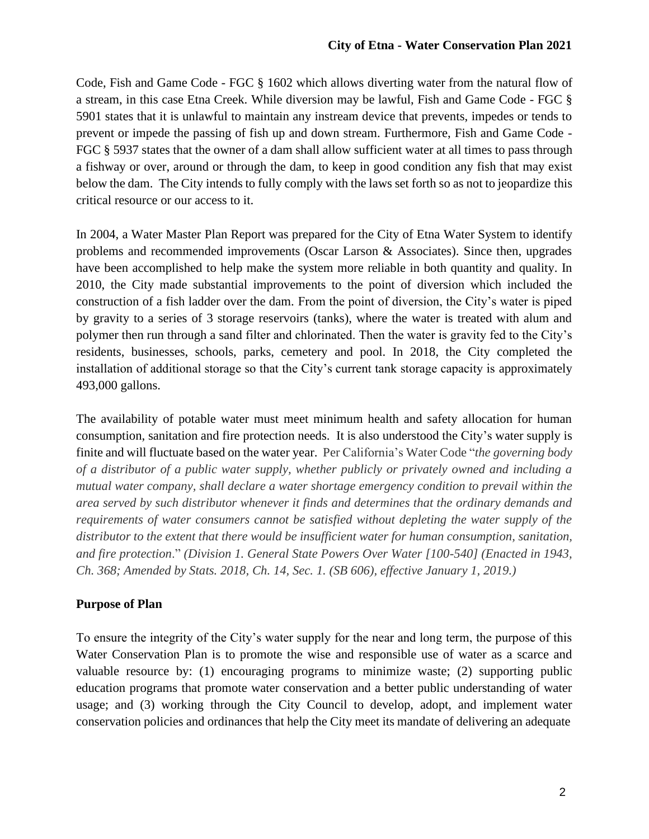Code, Fish and Game Code - FGC § 1602 which allows diverting water from the natural flow of a stream, in this case Etna Creek. While diversion may be lawful, Fish and Game Code - FGC § 5901 states that it is unlawful to maintain any instream device that prevents, impedes or tends to prevent or impede the passing of fish up and down stream. Furthermore, Fish and Game Code - FGC § 5937 states that the owner of a dam shall allow sufficient water at all times to pass through a fishway or over, around or through the dam, to keep in good condition any fish that may exist below the dam. The City intends to fully comply with the laws set forth so as not to jeopardize this critical resource or our access to it.

In 2004, a Water Master Plan Report was prepared for the City of Etna Water System to identify problems and recommended improvements (Oscar Larson & Associates). Since then, upgrades have been accomplished to help make the system more reliable in both quantity and quality. In 2010, the City made substantial improvements to the point of diversion which included the construction of a fish ladder over the dam. From the point of diversion, the City's water is piped by gravity to a series of 3 storage reservoirs (tanks), where the water is treated with alum and polymer then run through a sand filter and chlorinated. Then the water is gravity fed to the City's residents, businesses, schools, parks, cemetery and pool. In 2018, the City completed the installation of additional storage so that the City's current tank storage capacity is approximately 493,000 gallons.

The availability of potable water must meet minimum health and safety allocation for human consumption, sanitation and fire protection needs. It is also understood the City's water supply is finite and will fluctuate based on the water year. Per California's Water Code "*the governing body of a distributor of a public water supply, whether publicly or privately owned and including a mutual water company, shall declare a water shortage emergency condition to prevail within the area served by such distributor whenever it finds and determines that the ordinary demands and requirements of water consumers cannot be satisfied without depleting the water supply of the distributor to the extent that there would be insufficient water for human consumption, sanitation, and fire protection*." *(Division 1. General State Powers Over Water [100-540] (Enacted in 1943, Ch. 368; Amended by Stats. 2018, Ch. 14, Sec. 1. (SB 606), effective January 1, 2019.)*

## **Purpose of Plan**

To ensure the integrity of the City's water supply for the near and long term, the purpose of this Water Conservation Plan is to promote the wise and responsible use of water as a scarce and valuable resource by: (1) encouraging programs to minimize waste; (2) supporting public education programs that promote water conservation and a better public understanding of water usage; and (3) working through the City Council to develop, adopt, and implement water conservation policies and ordinances that help the City meet its mandate of delivering an adequate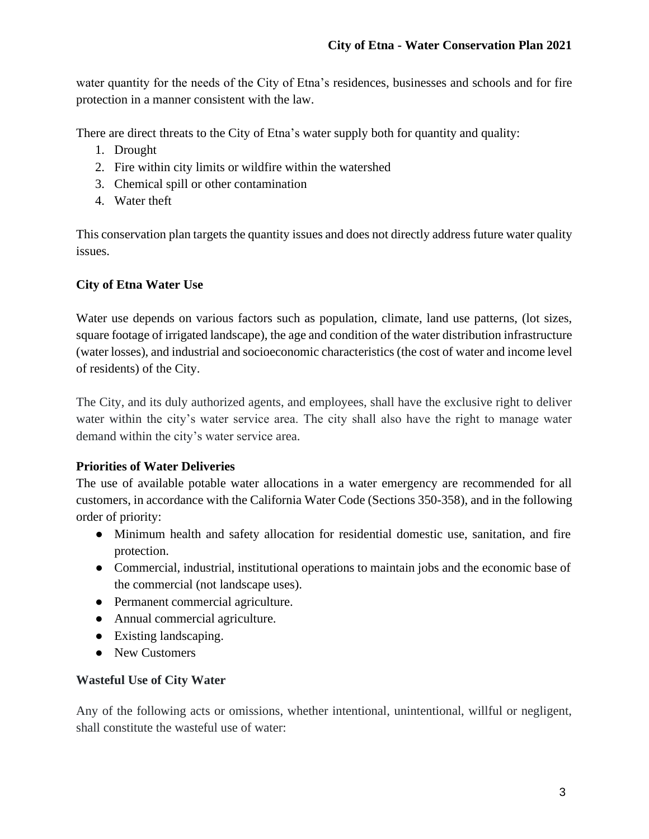water quantity for the needs of the City of Etna's residences, businesses and schools and for fire protection in a manner consistent with the law.

There are direct threats to the City of Etna's water supply both for quantity and quality:

- 1. Drought
- 2. Fire within city limits or wildfire within the watershed
- 3. Chemical spill or other contamination
- 4. Water theft

This conservation plan targets the quantity issues and does not directly address future water quality issues.

## **City of Etna Water Use**

Water use depends on various factors such as population, climate, land use patterns, (lot sizes, square footage of irrigated landscape), the age and condition of the water distribution infrastructure (water losses), and industrial and socioeconomic characteristics (the cost of water and income level of residents) of the City.

The City, and its duly authorized agents, and employees, shall have the exclusive right to deliver water within the city's water service area. The city shall also have the right to manage water demand within the city's water service area.

## **Priorities of Water Deliveries**

The use of available potable water allocations in a water emergency are recommended for all customers, in accordance with the California Water Code (Sections 350-358), and in the following order of priority:

- Minimum health and safety allocation for residential domestic use, sanitation, and fire protection.
- Commercial, industrial, institutional operations to maintain jobs and the economic base of the commercial (not landscape uses).
- Permanent commercial agriculture.
- Annual commercial agriculture.
- Existing landscaping.
- New Customers

## **Wasteful Use of City Water**

Any of the following acts or omissions, whether intentional, unintentional, willful or negligent, shall constitute the wasteful use of water: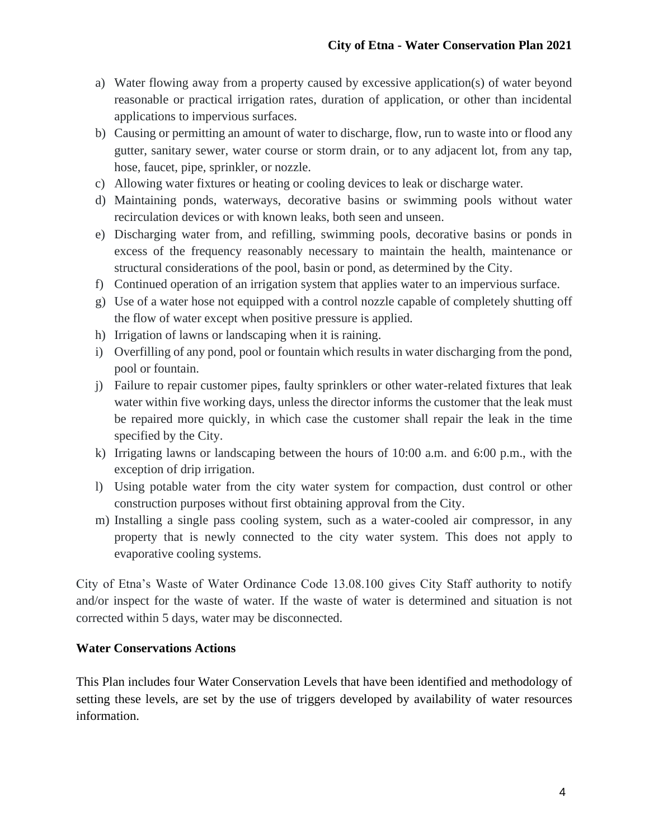- a) Water flowing away from a property caused by excessive application(s) of water beyond reasonable or practical irrigation rates, duration of application, or other than incidental applications to impervious surfaces.
- b) Causing or permitting an amount of water to discharge, flow, run to waste into or flood any gutter, sanitary sewer, water course or storm drain, or to any adjacent lot, from any tap, hose, faucet, pipe, sprinkler, or nozzle.
- c) Allowing water fixtures or heating or cooling devices to leak or discharge water.
- d) Maintaining ponds, waterways, decorative basins or swimming pools without water recirculation devices or with known leaks, both seen and unseen.
- e) Discharging water from, and refilling, swimming pools, decorative basins or ponds in excess of the frequency reasonably necessary to maintain the health, maintenance or structural considerations of the pool, basin or pond, as determined by the City.
- f) Continued operation of an irrigation system that applies water to an impervious surface.
- g) Use of a water hose not equipped with a control nozzle capable of completely shutting off the flow of water except when positive pressure is applied.
- h) Irrigation of lawns or landscaping when it is raining.
- i) Overfilling of any pond, pool or fountain which results in water discharging from the pond, pool or fountain.
- j) Failure to repair customer pipes, faulty sprinklers or other water-related fixtures that leak water within five working days, unless the director informs the customer that the leak must be repaired more quickly, in which case the customer shall repair the leak in the time specified by the City.
- k) Irrigating lawns or landscaping between the hours of 10:00 a.m. and 6:00 p.m., with the exception of drip irrigation.
- l) Using potable water from the city water system for compaction, dust control or other construction purposes without first obtaining approval from the City.
- m) Installing a single pass cooling system, such as a water-cooled air compressor, in any property that is newly connected to the city water system. This does not apply to evaporative cooling systems.

City of Etna's Waste of Water Ordinance Code 13.08.100 gives City Staff authority to notify and/or inspect for the waste of water. If the waste of water is determined and situation is not corrected within 5 days, water may be disconnected.

## **Water Conservations Actions**

This Plan includes four Water Conservation Levels that have been identified and methodology of setting these levels, are set by the use of triggers developed by availability of water resources information.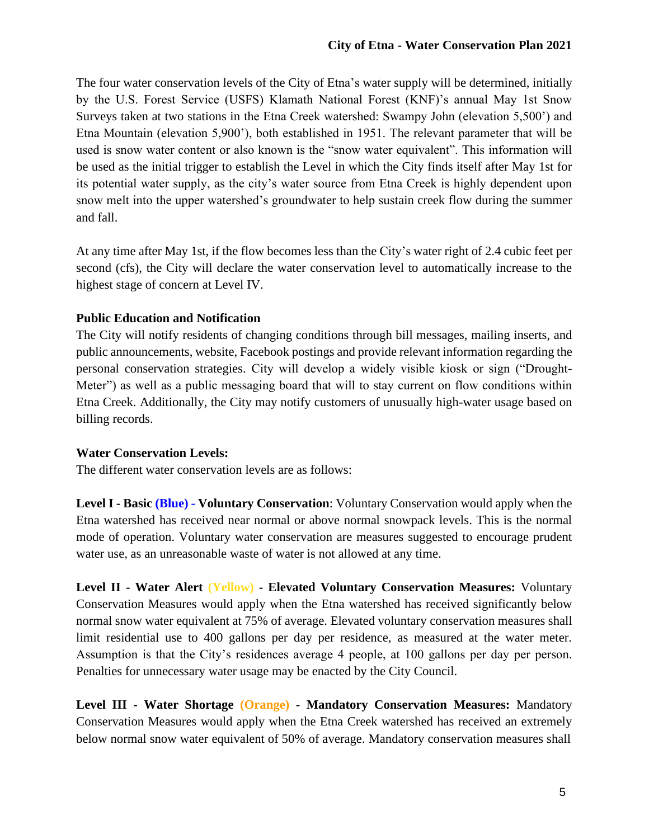The four water conservation levels of the City of Etna's water supply will be determined, initially by the U.S. Forest Service (USFS) Klamath National Forest (KNF)'s annual May 1st Snow Surveys taken at two stations in the Etna Creek watershed: Swampy John (elevation 5,500') and Etna Mountain (elevation 5,900'), both established in 1951. The relevant parameter that will be used is snow water content or also known is the "snow water equivalent". This information will be used as the initial trigger to establish the Level in which the City finds itself after May 1st for its potential water supply, as the city's water source from Etna Creek is highly dependent upon snow melt into the upper watershed's groundwater to help sustain creek flow during the summer and fall.

At any time after May 1st, if the flow becomes less than the City's water right of 2.4 cubic feet per second (cfs), the City will declare the water conservation level to automatically increase to the highest stage of concern at Level IV.

#### **Public Education and Notification**

The City will notify residents of changing conditions through bill messages, mailing inserts, and public announcements, website, Facebook postings and provide relevant information regarding the personal conservation strategies. City will develop a widely visible kiosk or sign ("Drought-Meter") as well as a public messaging board that will to stay current on flow conditions within Etna Creek. Additionally, the City may notify customers of unusually high-water usage based on billing records.

#### **Water Conservation Levels:**

The different water conservation levels are as follows:

**Level I - Basic (Blue) - Voluntary Conservation**: Voluntary Conservation would apply when the Etna watershed has received near normal or above normal snowpack levels. This is the normal mode of operation. Voluntary water conservation are measures suggested to encourage prudent water use, as an unreasonable waste of water is not allowed at any time.

**Level II - Water Alert (Yellow) - Elevated Voluntary Conservation Measures:** Voluntary Conservation Measures would apply when the Etna watershed has received significantly below normal snow water equivalent at 75% of average. Elevated voluntary conservation measures shall limit residential use to 400 gallons per day per residence, as measured at the water meter. Assumption is that the City's residences average 4 people, at 100 gallons per day per person. Penalties for unnecessary water usage may be enacted by the City Council.

**Level III - Water Shortage (Orange) - Mandatory Conservation Measures:** Mandatory Conservation Measures would apply when the Etna Creek watershed has received an extremely below normal snow water equivalent of 50% of average. Mandatory conservation measures shall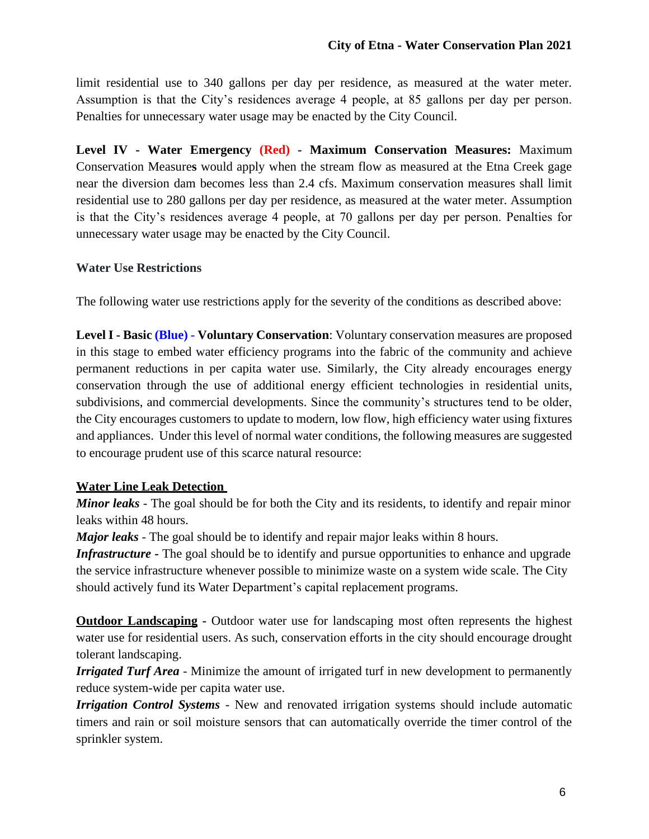limit residential use to 340 gallons per day per residence, as measured at the water meter. Assumption is that the City's residences average 4 people, at 85 gallons per day per person. Penalties for unnecessary water usage may be enacted by the City Council.

**Level IV - Water Emergency (Red) - Maximum Conservation Measures:** Maximum Conservation Measure**s** would apply when the stream flow as measured at the Etna Creek gage near the diversion dam becomes less than 2.4 cfs. Maximum conservation measures shall limit residential use to 280 gallons per day per residence, as measured at the water meter. Assumption is that the City's residences average 4 people, at 70 gallons per day per person. Penalties for unnecessary water usage may be enacted by the City Council.

#### **Water Use Restrictions**

The following water use restrictions apply for the severity of the conditions as described above:

**Level I - Basic (Blue) - Voluntary Conservation**: Voluntary conservation measures are proposed in this stage to embed water efficiency programs into the fabric of the community and achieve permanent reductions in per capita water use. Similarly, the City already encourages energy conservation through the use of additional energy efficient technologies in residential units, subdivisions, and commercial developments. Since the community's structures tend to be older, the City encourages customers to update to modern, low flow, high efficiency water using fixtures and appliances. Under this level of normal water conditions, the following measures are suggested to encourage prudent use of this scarce natural resource:

#### **Water Line Leak Detection**

*Minor leaks* - The goal should be for both the City and its residents, to identify and repair minor leaks within 48 hours.

*Major leaks* - The goal should be to identify and repair major leaks within 8 hours.

*Infrastructure* **-** The goal should be to identify and pursue opportunities to enhance and upgrade the service infrastructure whenever possible to minimize waste on a system wide scale. The City should actively fund its Water Department's capital replacement programs.

**Outdoor Landscaping** - Outdoor water use for landscaping most often represents the highest water use for residential users. As such, conservation efforts in the city should encourage drought tolerant landscaping.

*Irrigated Turf Area* - Minimize the amount of irrigated turf in new development to permanently reduce system-wide per capita water use.

*Irrigation Control Systems* - New and renovated irrigation systems should include automatic timers and rain or soil moisture sensors that can automatically override the timer control of the sprinkler system.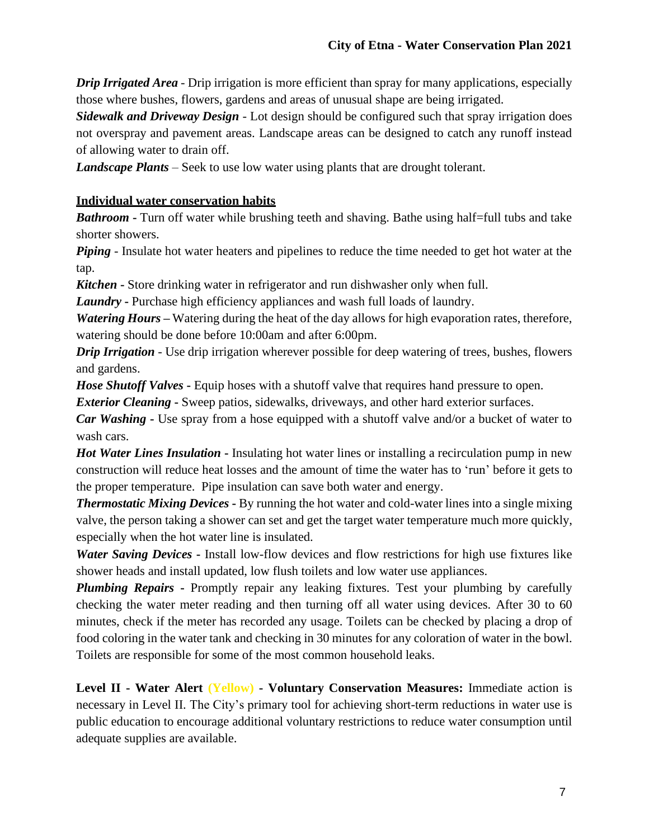*Drip Irrigated Area* - Drip irrigation is more efficient than spray for many applications, especially those where bushes, flowers, gardens and areas of unusual shape are being irrigated.

*Sidewalk and Driveway Design* - Lot design should be configured such that spray irrigation does not overspray and pavement areas. Landscape areas can be designed to catch any runoff instead of allowing water to drain off.

*Landscape Plants* – Seek to use low water using plants that are drought tolerant.

## **Individual water conservation habits**

*Bathroom* – Turn off water while brushing teeth and shaving. Bathe using half-full tubs and take shorter showers.

*Piping* - Insulate hot water heaters and pipelines to reduce the time needed to get hot water at the tap.

*Kitchen* **-** Store drinking water in refrigerator and run dishwasher only when full.

*Laundry* **-** Purchase high efficiency appliances and wash full loads of laundry.

*Watering Hours* – Watering during the heat of the day allows for high evaporation rates, therefore, watering should be done before 10:00am and after 6:00pm.

*Drip Irrigation* - Use drip irrigation wherever possible for deep watering of trees, bushes, flowers and gardens.

*Hose Shutoff Valves* **-** Equip hoses with a shutoff valve that requires hand pressure to open.

*Exterior Cleaning* **-** Sweep patios, sidewalks, driveways, and other hard exterior surfaces.

*Car Washing* **-** Use spray from a hose equipped with a shutoff valve and/or a bucket of water to wash cars.

*Hot Water Lines Insulation* **-** Insulating hot water lines or installing a recirculation pump in new construction will reduce heat losses and the amount of time the water has to 'run' before it gets to the proper temperature. Pipe insulation can save both water and energy.

*Thermostatic Mixing Devices* **-** By running the hot water and cold-water lines into a single mixing valve, the person taking a shower can set and get the target water temperature much more quickly, especially when the hot water line is insulated.

*Water Saving Devices* **-** Install low-flow devices and flow restrictions for high use fixtures like shower heads and install updated, low flush toilets and low water use appliances.

*Plumbing Repairs* **-** Promptly repair any leaking fixtures. Test your plumbing by carefully checking the water meter reading and then turning off all water using devices. After 30 to 60 minutes, check if the meter has recorded any usage. Toilets can be checked by placing a drop of food coloring in the water tank and checking in 30 minutes for any coloration of water in the bowl. Toilets are responsible for some of the most common household leaks.

**Level II - Water Alert (Yellow) - Voluntary Conservation Measures:** Immediate action is necessary in Level II. The City's primary tool for achieving short-term reductions in water use is public education to encourage additional voluntary restrictions to reduce water consumption until adequate supplies are available.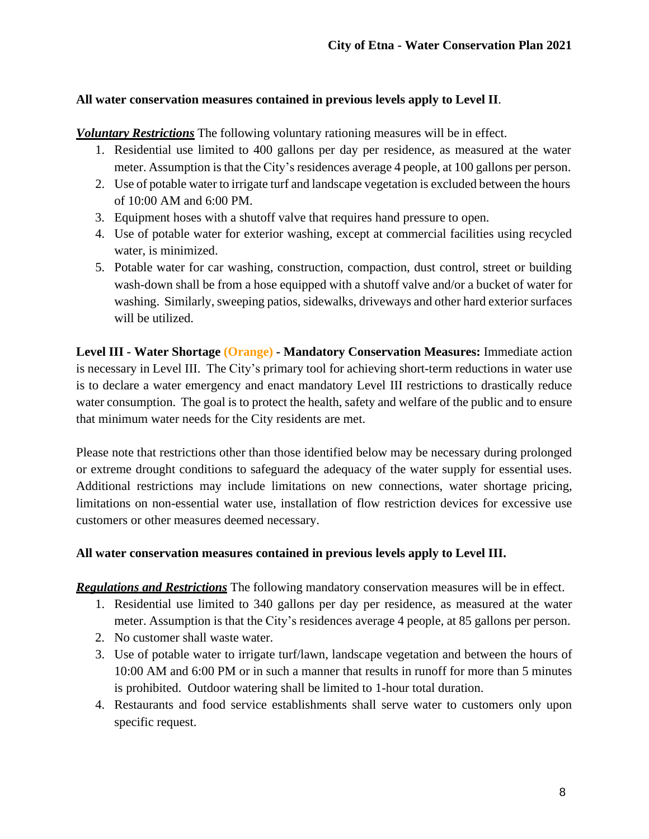## **All water conservation measures contained in previous levels apply to Level II**.

*Voluntary Restrictions* The following voluntary rationing measures will be in effect.

- 1. Residential use limited to 400 gallons per day per residence, as measured at the water meter. Assumption is that the City's residences average 4 people, at 100 gallons per person.
- 2. Use of potable water to irrigate turf and landscape vegetation is excluded between the hours of 10:00 AM and 6:00 PM.
- 3. Equipment hoses with a shutoff valve that requires hand pressure to open.
- 4. Use of potable water for exterior washing, except at commercial facilities using recycled water, is minimized.
- 5. Potable water for car washing, construction, compaction, dust control, street or building wash-down shall be from a hose equipped with a shutoff valve and/or a bucket of water for washing. Similarly, sweeping patios, sidewalks, driveways and other hard exterior surfaces will be utilized.

**Level III - Water Shortage (Orange) - Mandatory Conservation Measures:** Immediate action is necessary in Level III. The City's primary tool for achieving short-term reductions in water use is to declare a water emergency and enact mandatory Level III restrictions to drastically reduce water consumption. The goal is to protect the health, safety and welfare of the public and to ensure that minimum water needs for the City residents are met.

Please note that restrictions other than those identified below may be necessary during prolonged or extreme drought conditions to safeguard the adequacy of the water supply for essential uses. Additional restrictions may include limitations on new connections, water shortage pricing, limitations on non-essential water use, installation of flow restriction devices for excessive use customers or other measures deemed necessary.

## **All water conservation measures contained in previous levels apply to Level III.**

*Regulations and Restrictions* The following mandatory conservation measures will be in effect.

- 1. Residential use limited to 340 gallons per day per residence, as measured at the water meter. Assumption is that the City's residences average 4 people, at 85 gallons per person.
- 2. No customer shall waste water.
- 3. Use of potable water to irrigate turf/lawn, landscape vegetation and between the hours of 10:00 AM and 6:00 PM or in such a manner that results in runoff for more than 5 minutes is prohibited. Outdoor watering shall be limited to 1-hour total duration.
- 4. Restaurants and food service establishments shall serve water to customers only upon specific request.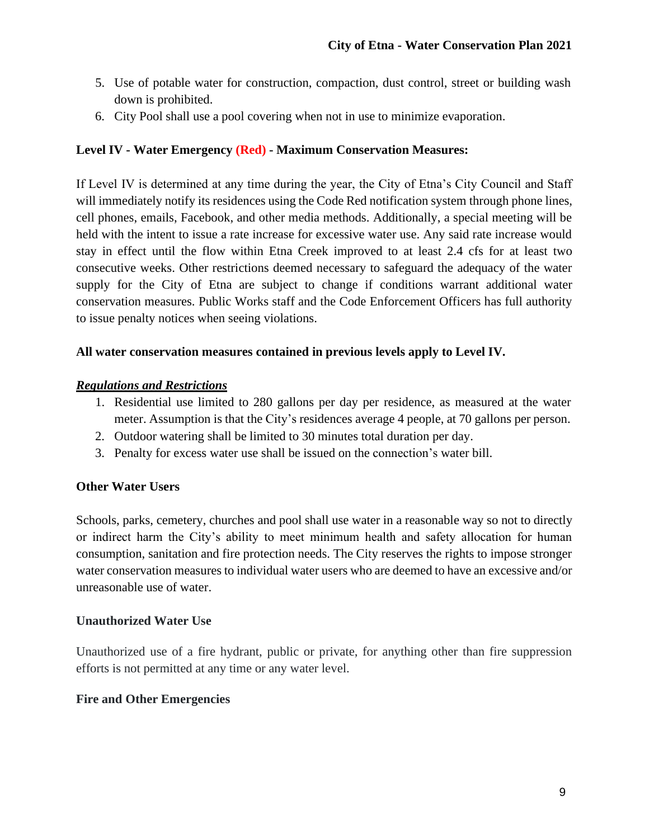- 5. Use of potable water for construction, compaction, dust control, street or building wash down is prohibited.
- 6. City Pool shall use a pool covering when not in use to minimize evaporation.

## **Level IV - Water Emergency (Red) - Maximum Conservation Measures:**

If Level IV is determined at any time during the year, the City of Etna's City Council and Staff will immediately notify its residences using the Code Red notification system through phone lines, cell phones, emails, Facebook, and other media methods. Additionally, a special meeting will be held with the intent to issue a rate increase for excessive water use. Any said rate increase would stay in effect until the flow within Etna Creek improved to at least 2.4 cfs for at least two consecutive weeks. Other restrictions deemed necessary to safeguard the adequacy of the water supply for the City of Etna are subject to change if conditions warrant additional water conservation measures. Public Works staff and the Code Enforcement Officers has full authority to issue penalty notices when seeing violations.

## **All water conservation measures contained in previous levels apply to Level IV.**

## *Regulations and Restrictions*

- 1. Residential use limited to 280 gallons per day per residence, as measured at the water meter. Assumption is that the City's residences average 4 people, at 70 gallons per person.
- 2. Outdoor watering shall be limited to 30 minutes total duration per day.
- 3. Penalty for excess water use shall be issued on the connection's water bill.

## **Other Water Users**

Schools, parks, cemetery, churches and pool shall use water in a reasonable way so not to directly or indirect harm the City's ability to meet minimum health and safety allocation for human consumption, sanitation and fire protection needs. The City reserves the rights to impose stronger water conservation measures to individual water users who are deemed to have an excessive and/or unreasonable use of water.

## **Unauthorized Water Use**

Unauthorized use of a fire hydrant, public or private, for anything other than fire suppression efforts is not permitted at any time or any water level.

## **Fire and Other Emergencies**